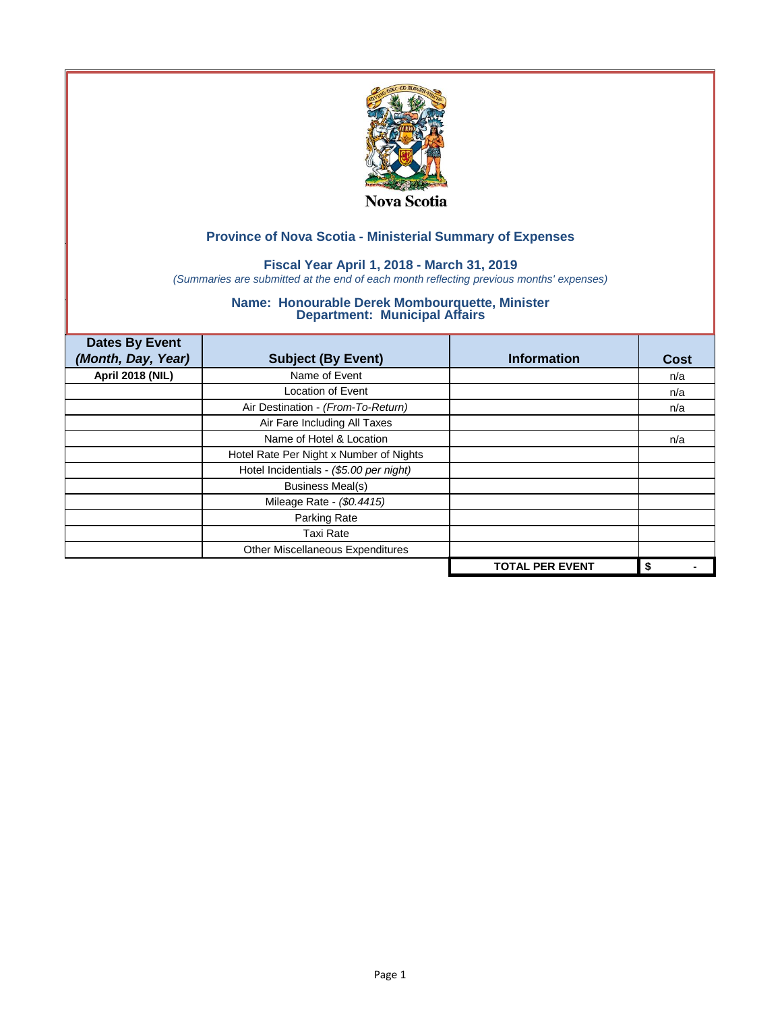

## **Fiscal Year April 1, 2018 - March 31, 2019**

*(Summaries are submitted at the end of each month reflecting previous months' expenses)*

| <b>Dates By Event</b>   |                                         |                        |             |
|-------------------------|-----------------------------------------|------------------------|-------------|
| (Month, Day, Year)      | <b>Subject (By Event)</b>               | <b>Information</b>     | <b>Cost</b> |
| <b>April 2018 (NIL)</b> | Name of Event                           |                        | n/a         |
|                         | Location of Event                       |                        | n/a         |
|                         | Air Destination - (From-To-Return)      |                        | n/a         |
|                         | Air Fare Including All Taxes            |                        |             |
|                         | Name of Hotel & Location                |                        | n/a         |
|                         | Hotel Rate Per Night x Number of Nights |                        |             |
|                         | Hotel Incidentials - (\$5.00 per night) |                        |             |
|                         | <b>Business Meal(s)</b>                 |                        |             |
|                         | Mileage Rate - (\$0.4415)               |                        |             |
|                         | Parking Rate                            |                        |             |
|                         | <b>Taxi Rate</b>                        |                        |             |
|                         | Other Miscellaneous Expenditures        |                        |             |
|                         |                                         | <b>TOTAL PER EVENT</b> | \$          |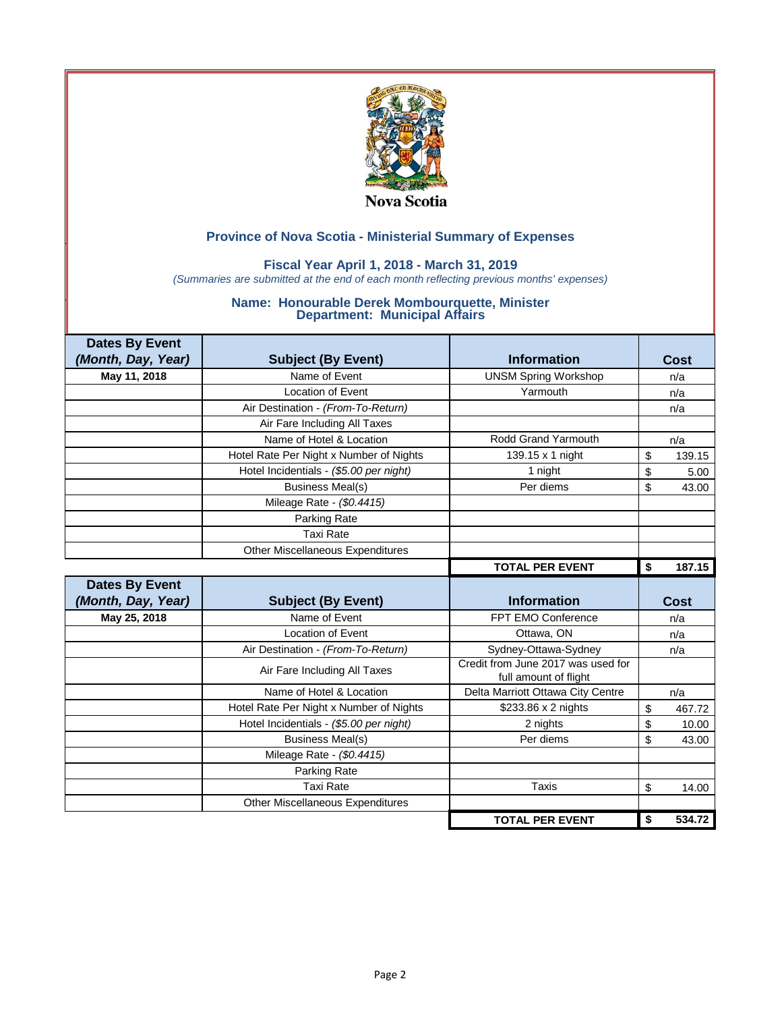

### **Fiscal Year April 1, 2018 - March 31, 2019**

*(Summaries are submitted at the end of each month reflecting previous months' expenses)*

| <b>Dates By Event</b> |                                         |                                                             |              |
|-----------------------|-----------------------------------------|-------------------------------------------------------------|--------------|
| (Month, Day, Year)    | <b>Subject (By Event)</b>               | <b>Information</b>                                          | Cost         |
| May 11, 2018          | Name of Event                           | <b>UNSM Spring Workshop</b>                                 | n/a          |
|                       | Location of Event                       | Yarmouth                                                    | n/a          |
|                       | Air Destination - (From-To-Return)      |                                                             | n/a          |
|                       | Air Fare Including All Taxes            |                                                             |              |
|                       | Name of Hotel & Location                | Rodd Grand Yarmouth                                         | n/a          |
|                       | Hotel Rate Per Night x Number of Nights | 139.15 x 1 night                                            | \$<br>139.15 |
|                       | Hotel Incidentials - (\$5.00 per night) | 1 night                                                     | \$<br>5.00   |
|                       | <b>Business Meal(s)</b>                 | Per diems                                                   | \$<br>43.00  |
|                       | Mileage Rate - (\$0.4415)               |                                                             |              |
|                       | Parking Rate                            |                                                             |              |
|                       | <b>Taxi Rate</b>                        |                                                             |              |
|                       | <b>Other Miscellaneous Expenditures</b> |                                                             |              |
|                       |                                         | <b>TOTAL PER EVENT</b>                                      | 187.15<br>\$ |
|                       |                                         |                                                             |              |
| <b>Dates By Event</b> |                                         |                                                             |              |
| (Month, Day, Year)    | <b>Subject (By Event)</b>               | <b>Information</b>                                          | Cost         |
| May 25, 2018          | Name of Event                           | FPT EMO Conference                                          | n/a          |
|                       | <b>Location of Event</b>                | Ottawa, ON                                                  | n/a          |
|                       | Air Destination - (From-To-Return)      | Sydney-Ottawa-Sydney                                        | n/a          |
|                       | Air Fare Including All Taxes            | Credit from June 2017 was used for<br>full amount of flight |              |
|                       | Name of Hotel & Location                | Delta Marriott Ottawa City Centre                           | n/a          |
|                       | Hotel Rate Per Night x Number of Nights | \$233.86 x 2 nights                                         | \$<br>467.72 |
|                       | Hotel Incidentials - (\$5.00 per night) | 2 nights                                                    | \$<br>10.00  |
|                       | <b>Business Meal(s)</b>                 | Per diems                                                   | \$<br>43.00  |
|                       | Mileage Rate - (\$0.4415)               |                                                             |              |
|                       | Parking Rate                            |                                                             |              |
|                       | <b>Taxi Rate</b>                        | Taxis                                                       | \$<br>14.00  |
|                       | <b>Other Miscellaneous Expenditures</b> |                                                             |              |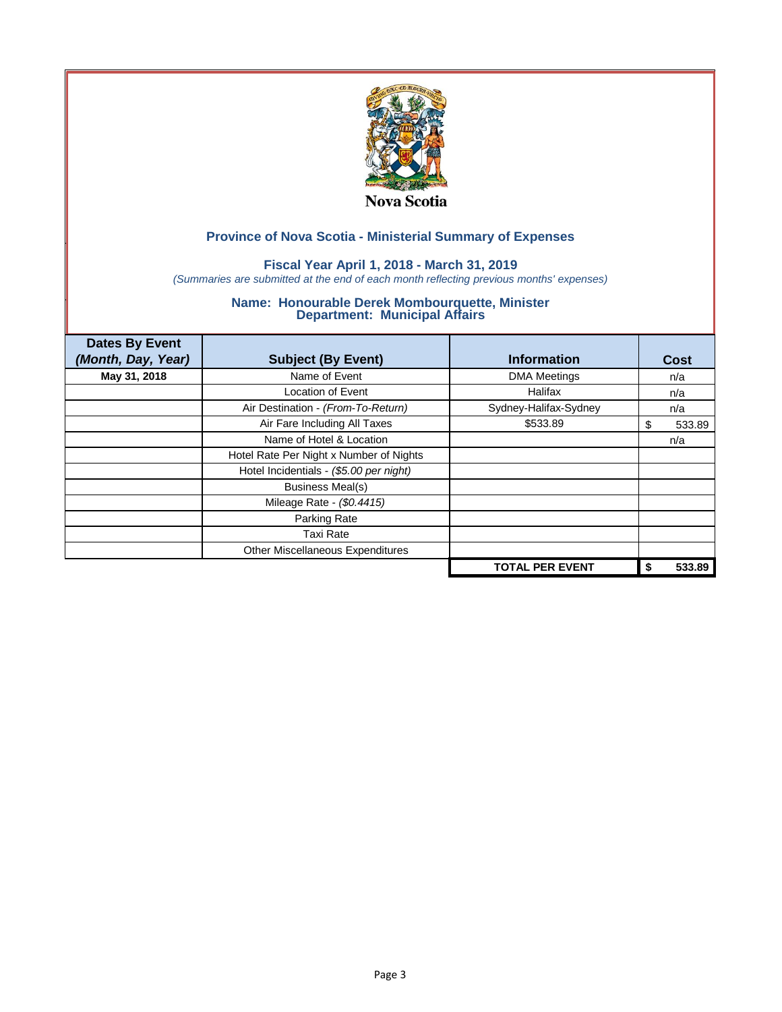

## **Fiscal Year April 1, 2018 - March 31, 2019**

*(Summaries are submitted at the end of each month reflecting previous months' expenses)*

| <b>Dates By Event</b><br>(Month, Day, Year) | <b>Subject (By Event)</b>               | <b>Information</b>     | Cost        |
|---------------------------------------------|-----------------------------------------|------------------------|-------------|
| May 31, 2018                                | Name of Event                           | <b>DMA Meetings</b>    | n/a         |
|                                             | <b>Location of Event</b>                | Halifax                | n/a         |
|                                             | Air Destination - (From-To-Return)      | Sydney-Halifax-Sydney  | n/a         |
|                                             | Air Fare Including All Taxes            | \$533.89               | 533.89<br>S |
|                                             | Name of Hotel & Location                |                        | n/a         |
|                                             | Hotel Rate Per Night x Number of Nights |                        |             |
|                                             | Hotel Incidentials - (\$5.00 per night) |                        |             |
|                                             | <b>Business Meal(s)</b>                 |                        |             |
|                                             | Mileage Rate - (\$0.4415)               |                        |             |
|                                             | Parking Rate                            |                        |             |
|                                             | <b>Taxi Rate</b>                        |                        |             |
|                                             | Other Miscellaneous Expenditures        |                        |             |
|                                             |                                         | <b>TOTAL PER EVENT</b> | 533.89      |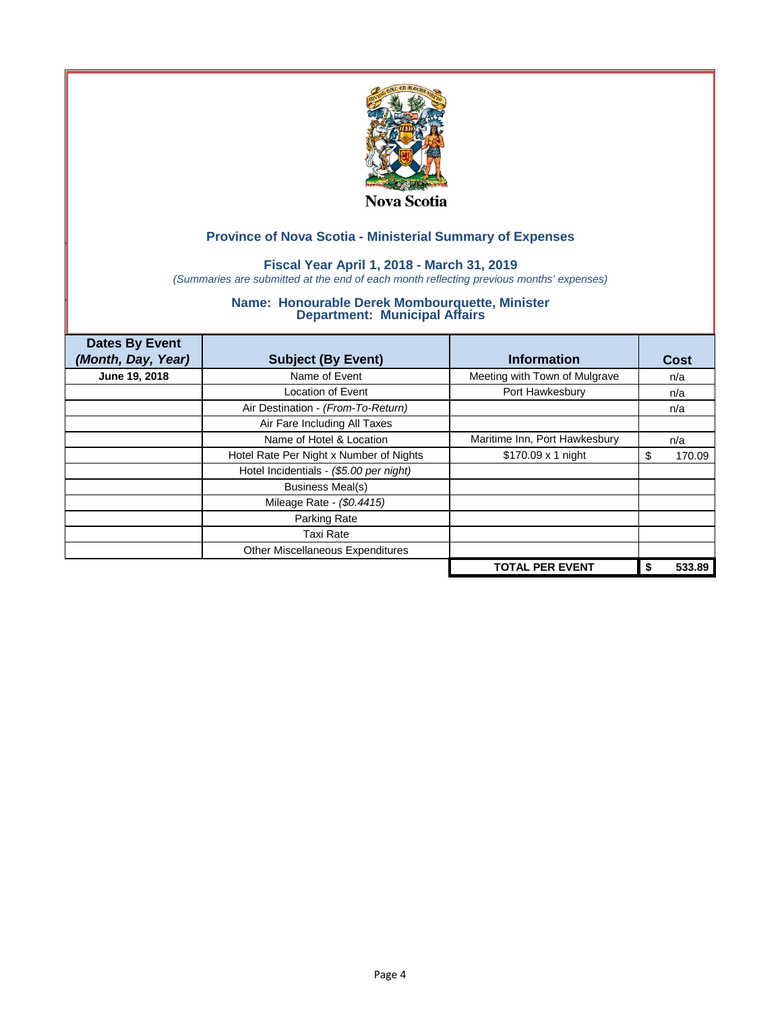

## **Fiscal Year April 1, 2018 - March 31, 2019**

*(Summaries are submitted at the end of each month reflecting previous months' expenses)*

| <b>Dates By Event</b><br>(Month, Day, Year) | <b>Subject (By Event)</b>               | <b>Information</b>            | Cost   |
|---------------------------------------------|-----------------------------------------|-------------------------------|--------|
|                                             |                                         |                               |        |
| June 19, 2018                               | Name of Event                           | Meeting with Town of Mulgrave | n/a    |
|                                             | <b>Location of Event</b>                | Port Hawkesbury               | n/a    |
|                                             | Air Destination - (From-To-Return)      |                               | n/a    |
|                                             | Air Fare Including All Taxes            |                               |        |
|                                             | Name of Hotel & Location                | Maritime Inn, Port Hawkesbury | n/a    |
|                                             | Hotel Rate Per Night x Number of Nights | $$170.09 \times 1$ night      | 170.09 |
|                                             | Hotel Incidentials - (\$5.00 per night) |                               |        |
|                                             | <b>Business Meal(s)</b>                 |                               |        |
|                                             | Mileage Rate - (\$0.4415)               |                               |        |
|                                             | Parking Rate                            |                               |        |
|                                             | Taxi Rate                               |                               |        |
|                                             | Other Miscellaneous Expenditures        |                               |        |
|                                             |                                         | <b>TOTAL PER EVENT</b>        | 533.89 |